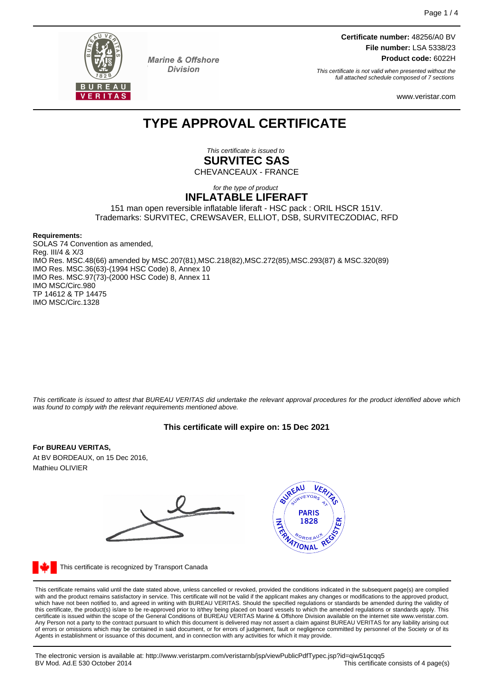

**Marine & Offshore Division** 

**Certificate number:** 48256/A0 BV **File number:** LSA 5338/23 **Product code:** 6022H

This certificate is not valid when presented without the full attached schedule composed of 7 sections

www.veristar.com

# **TYPE APPROVAL CERTIFICATE**

This certificate is issued to **SURVITEC SAS** CHEVANCEAUX - FRANCE

#### for the type of product **INFLATABLE LIFERAFT**

151 man open reversible inflatable liferaft - HSC pack : ORIL HSCR 151V. Trademarks: SURVITEC, CREWSAVER, ELLIOT, DSB, SURVITECZODIAC, RFD

#### **Requirements:**

SOLAS 74 Convention as amended, Reg. III/4 & X/3 IMO Res. MSC.48(66) amended by MSC.207(81),MSC.218(82),MSC.272(85),MSC.293(87) & MSC.320(89) IMO Res. MSC.36(63)-(1994 HSC Code) 8, Annex 10 IMO Res. MSC.97(73)-(2000 HSC Code) 8, Annex 11 IMO MSC/Circ.980 TP 14612 & TP 14475 IMO MSC/Circ.1328

This certificate is issued to attest that BUREAU VERITAS did undertake the relevant approval procedures for the product identified above which was found to comply with the relevant requirements mentioned above.

# **This certificate will expire on: 15 Dec 2021**

## **For BUREAU VERITAS,**

At BV BORDEAUX, on 15 Dec 2016, Mathieu OLIVIER



This certificate is recognized by Transport Canada

This certificate remains valid until the date stated above, unless cancelled or revoked, provided the conditions indicated in the subsequent page(s) are complied with and the product remains satisfactory in service. This certificate will not be valid if the applicant makes any changes or modifications to the approved product, which have not been notified to, and agreed in writing with BUREAU VERITAS. Should the specified regulations or standards be amended during the validity of<br>this certificate, the product(s) is/are to be re-approved prior to Any Person not a party to the contract pursuant to which this document is delivered may not assert a claim against BUREAU VERITAS for any liability arising out of errors or omissions which may be contained in said document, or for errors of judgement, fault or negligence committed by personnel of the Society or of its Agents in establishment or issuance of this document, and in connection with any activities for which it may provide.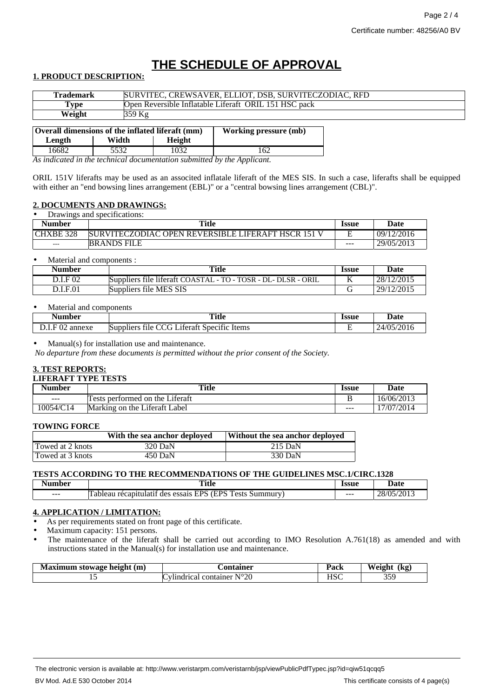# **THE SCHEDULE OF APPROVAL**

## **1. PRODUCT DESCRIPTION:**

| Trademark                                        |          | SURVITEC, CREWSAVER, ELLIOT, DSB, SURVITECZODIAC, RFD |                              |  |
|--------------------------------------------------|----------|-------------------------------------------------------|------------------------------|--|
| Type                                             |          | Open Reversible Inflatable Liferaft ORIL 151 HSC pack |                              |  |
| Weight                                           | $359$ Kg |                                                       |                              |  |
| Overall dimensions of the inflated liferaft (mm) |          |                                                       |                              |  |
|                                                  |          |                                                       | <b>Working pressure (mb)</b> |  |
| Length                                           | Width    | Height                                                |                              |  |

16682 5532 1032 162 *As indicated in the technical documentation submitted by the Applicant.*

ORIL 151V liferafts may be used as an associted inflatale liferaft of the MES SIS. In such a case, liferafts shall be equipped with either an "end bowsing lines arrangement (EBL)" or a "central bowsing lines arrangement (CBL)".

## **2. DOCUMENTS AND DRAWINGS:**

| Drawings and specifications: |                                                           |                     |            |
|------------------------------|-----------------------------------------------------------|---------------------|------------|
| <b>Number</b>                | Title                                                     | <i><b>Issue</b></i> | Date       |
| CHXBE 328                    | <b>SURVITECZODIAC OPEN REVERSIBLE LIFERAFT HSCR 151 V</b> |                     | 09/12/2016 |
| $---$                        | <b>BRANDS FILE</b>                                        | $---$               | 29/05/2013 |

#### • Material and components :

| Number   | <b>Title</b>                                                       | <b>Issue</b> | <b>Date</b> |
|----------|--------------------------------------------------------------------|--------------|-------------|
| D.I.F 02 | Suppliers file liferaft COASTAL - TO - TOSR - DL- DLSR - 0<br>ORIL | v            | 28/12/2015  |
| D.I.F.01 | Suppliers file MES SIS                                             |              | 29/12/2015  |

## Material and components

| Number                       | <b>Title</b><br>____                                                                                 | Issue | Date                           |
|------------------------------|------------------------------------------------------------------------------------------------------|-------|--------------------------------|
| $\Gamma$ 00<br>annexe<br>. . | .<br>$\sim$<br>$\sim$<br>$\cdot$ $\sim$<br><b>Suppliers</b><br>Items<br>.11eraft<br>Specific<br>tile |       | /2016<br>$\sqrt{25}$<br>$2\pi$ |

#### Manual(s) for installation use and maintenance.

*No departure from these documents is permitted without the prior consent of the Society.*

## **3. TEST REPORTS:**

#### **LIFERAFT TYPE TESTS**

| $ -$<br>Number | <b>Title</b>                                                  | Issue   | Date       |
|----------------|---------------------------------------------------------------|---------|------------|
| ---            | .<br>s performed on the Liferaft<br>ests                      |         | 16/06/2013 |
| 10054/C14      | $\cdot$ $\sim$<br>Liferaft -<br>Markıng<br>∟abel<br>the<br>on | $- - -$ | 17/07/2014 |

#### **TOWING FORCE**

|                  | With the sea anchor deployed | Without the sea anchor deployed |
|------------------|------------------------------|---------------------------------|
| Towed at 2 knots | 320 DaN                      | 215 DaN                         |
| Towed at 3 knots | 450 DaN                      | 330 DaN                         |

## **TESTS ACCORDING TO THE RECOMMENDATIONS OF THE GUIDELINES MSC.1/CIRC.1328**

| nber    | <b>Title</b><br>$\sim$ $\sim$                                                                                                  | Issue<br>. | late<br>sau<br>.                                         |
|---------|--------------------------------------------------------------------------------------------------------------------------------|------------|----------------------------------------------------------|
| $- - -$ | <b>/FDC T</b><br>$\sim$<br><b>EDC</b><br>ests<br>nmurv<br>recapu.<br>sum<br>ableau<br>alatı†<br>des<br>essais<br><u>ы</u><br>້ | $- - -$    | /2013<br>/∩<<br>າດ<br>$\angle$ O/<br>$\sim$<br>$\ddotsc$ |

## **4. APPLICATION / LIMITATION:**

As per requirements stated on front page of this certificate.

Maximum capacity: 151 persons.

• The maintenance of the liferaft shall be carried out according to IMO Resolution A.761(18) as amended and with instructions stated in the Manual(s) for installation use and maintenance.

| п.<br>(m)<br>: height-<br>stowage<br>$\sim$ um su | 'nr<br>.                                                             | וההי<br>acn    | $W$ oich<br>.<br>m.<br>$\cdots$<br>o, |
|---------------------------------------------------|----------------------------------------------------------------------|----------------|---------------------------------------|
| --<br>$\sim$                                      | $\mathbf{r} \cap \mathbf{r} \cap \mathbf{r}$<br>v<br>20<br>container | T T Q<br>110 C | ر ر.                                  |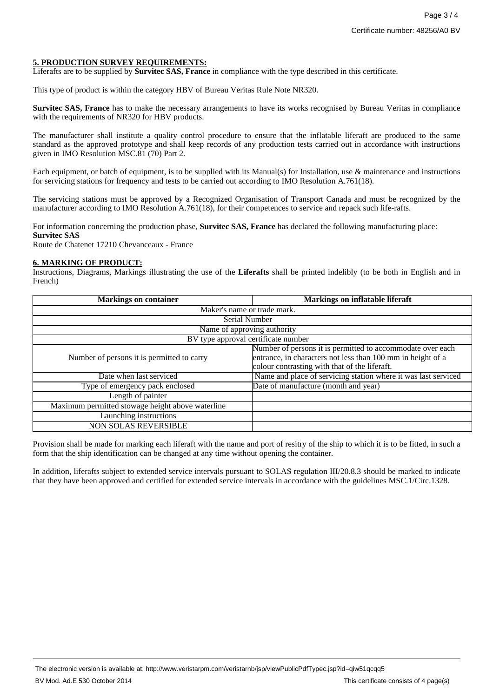## **5. PRODUCTION SURVEY REQUIREMENTS:**

Liferafts are to be supplied by **Survitec SAS, France** in compliance with the type described in this certificate.

This type of product is within the category HBV of Bureau Veritas Rule Note NR320.

**Survitec SAS, France** has to make the necessary arrangements to have its works recognised by Bureau Veritas in compliance with the requirements of NR320 for HBV products.

The manufacturer shall institute a quality control procedure to ensure that the inflatable liferaft are produced to the same standard as the approved prototype and shall keep records of any production tests carried out in accordance with instructions given in IMO Resolution MSC.81 (70) Part 2.

Each equipment, or batch of equipment, is to be supplied with its Manual(s) for Installation, use & maintenance and instructions for servicing stations for frequency and tests to be carried out according to IMO Resolution A.761(18).

The servicing stations must be approved by a Recognized Organisation of Transport Canada and must be recognized by the manufacturer according to IMO Resolution A.761(18), for their competences to service and repack such life-rafts.

For information concerning the production phase, **Survitec SAS, France** has declared the following manufacturing place: **Survitec SAS**

Route de Chatenet 17210 Chevanceaux - France

#### **6. MARKING OF PRODUCT:**

Instructions, Diagrams, Markings illustrating the use of the **Liferafts** shall be printed indelibly (to be both in English and in French)

| <b>Markings on container</b>                     | <b>Markings on inflatable liferaft</b>                         |  |
|--------------------------------------------------|----------------------------------------------------------------|--|
| Maker's name or trade mark.                      |                                                                |  |
| Serial Number                                    |                                                                |  |
| Name of approving authority                      |                                                                |  |
| BV type approval certificate number              |                                                                |  |
|                                                  | Number of persons it is permitted to accommodate over each     |  |
| Number of persons it is permitted to carry       | entrance, in characters not less than 100 mm in height of a    |  |
|                                                  | colour contrasting with that of the liferaft.                  |  |
| Date when last serviced                          | Name and place of servicing station where it was last serviced |  |
| Type of emergency pack enclosed                  | Date of manufacture (month and year)                           |  |
| Length of painter                                |                                                                |  |
| Maximum permitted stowage height above waterline |                                                                |  |
| Launching instructions                           |                                                                |  |
| <b>NON SOLAS REVERSIBLE</b>                      |                                                                |  |

Provision shall be made for marking each liferaft with the name and port of resitry of the ship to which it is to be fitted, in such a form that the ship identification can be changed at any time without opening the container.

In addition, liferafts subject to extended service intervals pursuant to SOLAS regulation III/20.8.3 should be marked to indicate that they have been approved and certified for extended service intervals in accordance with the guidelines MSC.1/Circ.1328.